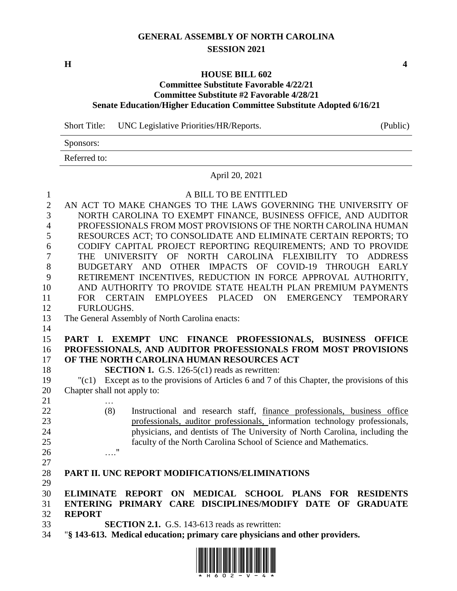# **GENERAL ASSEMBLY OF NORTH CAROLINA SESSION 2021**

**H 4**

#### **HOUSE BILL 602**

## **Committee Substitute Favorable 4/22/21 Committee Substitute #2 Favorable 4/28/21 Senate Education/Higher Education Committee Substitute Adopted 6/16/21**

Short Title: UNC Legislative Priorities/HR/Reports. (Public)

Sponsors:

Referred to:

#### April 20, 2021

 A BILL TO BE ENTITLED AN ACT TO MAKE CHANGES TO THE LAWS GOVERNING THE UNIVERSITY OF NORTH CAROLINA TO EXEMPT FINANCE, BUSINESS OFFICE, AND AUDITOR PROFESSIONALS FROM MOST PROVISIONS OF THE NORTH CAROLINA HUMAN RESOURCES ACT; TO CONSOLIDATE AND ELIMINATE CERTAIN REPORTS; TO CODIFY CAPITAL PROJECT REPORTING REQUIREMENTS; AND TO PROVIDE THE UNIVERSITY OF NORTH CAROLINA FLEXIBILITY TO ADDRESS BUDGETARY AND OTHER IMPACTS OF COVID-19 THROUGH EARLY RETIREMENT INCENTIVES, REDUCTION IN FORCE APPROVAL AUTHORITY, AND AUTHORITY TO PROVIDE STATE HEALTH PLAN PREMIUM PAYMENTS FOR CERTAIN EMPLOYEES PLACED ON EMERGENCY TEMPORARY FURLOUGHS. The General Assembly of North Carolina enacts: **PART I. EXEMPT UNC FINANCE PROFESSIONALS, BUSINESS OFFICE PROFESSIONALS, AND AUDITOR PROFESSIONALS FROM MOST PROVISIONS OF THE NORTH CAROLINA HUMAN RESOURCES ACT SECTION 1.** G.S. 126-5(c1) reads as rewritten: "(c1) Except as to the provisions of Articles 6 and 7 of this Chapter, the provisions of this Chapter shall not apply to: … (8) Instructional and research staff, finance professionals, business office professionals, auditor professionals, information technology professionals, physicians, and dentists of The University of North Carolina, including the faculty of the North Carolina School of Science and Mathematics. …." **PART II. UNC REPORT MODIFICATIONS/ELIMINATIONS ELIMINATE REPORT ON MEDICAL SCHOOL PLANS FOR RESIDENTS ENTERING PRIMARY CARE DISCIPLINES/MODIFY DATE OF GRADUATE REPORT SECTION 2.1.** G.S. 143-613 reads as rewritten: "**§ 143-613. Medical education; primary care physicians and other providers.**

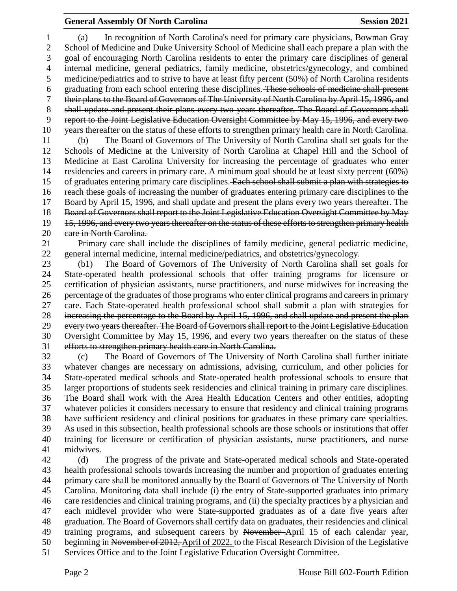## **General Assembly Of North Carolina Session 2021**

 (a) In recognition of North Carolina's need for primary care physicians, Bowman Gray School of Medicine and Duke University School of Medicine shall each prepare a plan with the goal of encouraging North Carolina residents to enter the primary care disciplines of general internal medicine, general pediatrics, family medicine, obstetrics/gynecology, and combined medicine/pediatrics and to strive to have at least fifty percent (50%) of North Carolina residents graduating from each school entering these disciplines. These schools of medicine shall present their plans to the Board of Governors of The University of North Carolina by April 15, 1996, and 8 shall update and present their plans every two years thereafter. The Board of Governors shall report to the Joint Legislative Education Oversight Committee by May 15, 1996, and every two years thereafter on the status of these efforts to strengthen primary health care in North Carolina. (b) The Board of Governors of The University of North Carolina shall set goals for the Schools of Medicine at the University of North Carolina at Chapel Hill and the School of Medicine at East Carolina University for increasing the percentage of graduates who enter residencies and careers in primary care. A minimum goal should be at least sixty percent (60%) 15 of graduates entering primary care disciplines. Each school shall submit a plan with strategies to reach these goals of increasing the number of graduates entering primary care disciplines to the Board by April 15, 1996, and shall update and present the plans every two years thereafter. The Board of Governors shall report to the Joint Legislative Education Oversight Committee by May 19 15, 1996, and every two years thereafter on the status of these efforts to strengthen primary health 20 eare in North Carolina.

 Primary care shall include the disciplines of family medicine, general pediatric medicine, general internal medicine, internal medicine/pediatrics, and obstetrics/gynecology.

 (b1) The Board of Governors of The University of North Carolina shall set goals for State-operated health professional schools that offer training programs for licensure or certification of physician assistants, nurse practitioners, and nurse midwives for increasing the percentage of the graduates of those programs who enter clinical programs and careers in primary 27 care. Each State operated health professional school shall submit a plan with strategies for increasing the percentage to the Board by April 15, 1996, and shall update and present the plan every two years thereafter. The Board of Governors shall report to the Joint Legislative Education Oversight Committee by May 15, 1996, and every two years thereafter on the status of these efforts to strengthen primary health care in North Carolina.

 (c) The Board of Governors of The University of North Carolina shall further initiate whatever changes are necessary on admissions, advising, curriculum, and other policies for State-operated medical schools and State-operated health professional schools to ensure that larger proportions of students seek residencies and clinical training in primary care disciplines. The Board shall work with the Area Health Education Centers and other entities, adopting whatever policies it considers necessary to ensure that residency and clinical training programs have sufficient residency and clinical positions for graduates in these primary care specialties. As used in this subsection, health professional schools are those schools or institutions that offer training for licensure or certification of physician assistants, nurse practitioners, and nurse midwives.

 (d) The progress of the private and State-operated medical schools and State-operated health professional schools towards increasing the number and proportion of graduates entering primary care shall be monitored annually by the Board of Governors of The University of North Carolina. Monitoring data shall include (i) the entry of State-supported graduates into primary care residencies and clinical training programs, and (ii) the specialty practices by a physician and each midlevel provider who were State-supported graduates as of a date five years after graduation. The Board of Governors shall certify data on graduates, their residencies and clinical training programs, and subsequent careers by November April 15 of each calendar year, 50 beginning in November of 2012, April of 2022, to the Fiscal Research Division of the Legislative Services Office and to the Joint Legislative Education Oversight Committee.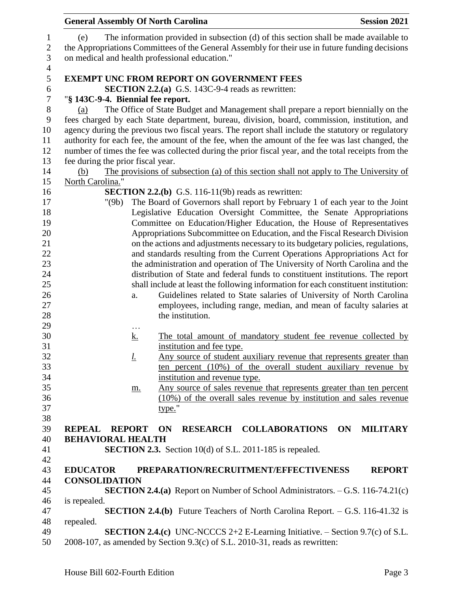| <b>General Assembly Of North Carolina</b>             |                                                                                                                                                                                          | <b>Session 2021</b>   |
|-------------------------------------------------------|------------------------------------------------------------------------------------------------------------------------------------------------------------------------------------------|-----------------------|
| (e)<br>on medical and health professional education." | The information provided in subsection (d) of this section shall be made available to<br>the Appropriations Committees of the General Assembly for their use in future funding decisions |                       |
|                                                       | <b>EXEMPT UNC FROM REPORT ON GOVERNMENT FEES</b>                                                                                                                                         |                       |
|                                                       | <b>SECTION 2.2.(a)</b> G.S. 143C-9-4 reads as rewritten:                                                                                                                                 |                       |
| "§ 143C-9-4. Biennial fee report.                     |                                                                                                                                                                                          |                       |
| (a)                                                   | The Office of State Budget and Management shall prepare a report biennially on the                                                                                                       |                       |
|                                                       | fees charged by each State department, bureau, division, board, commission, institution, and                                                                                             |                       |
|                                                       | agency during the previous two fiscal years. The report shall include the statutory or regulatory                                                                                        |                       |
|                                                       | authority for each fee, the amount of the fee, when the amount of the fee was last changed, the                                                                                          |                       |
|                                                       | number of times the fee was collected during the prior fiscal year, and the total receipts from the                                                                                      |                       |
| fee during the prior fiscal year.                     |                                                                                                                                                                                          |                       |
| (b)                                                   | The provisions of subsection (a) of this section shall not apply to The University of                                                                                                    |                       |
| North Carolina."                                      |                                                                                                                                                                                          |                       |
|                                                       | <b>SECTION 2.2.(b)</b> G.S. 116-11(9b) reads as rewritten:                                                                                                                               |                       |
| "(9b)                                                 | The Board of Governors shall report by February 1 of each year to the Joint                                                                                                              |                       |
|                                                       | Legislative Education Oversight Committee, the Senate Appropriations                                                                                                                     |                       |
|                                                       | Committee on Education/Higher Education, the House of Representatives                                                                                                                    |                       |
|                                                       | Appropriations Subcommittee on Education, and the Fiscal Research Division                                                                                                               |                       |
|                                                       | on the actions and adjustments necessary to its budgetary policies, regulations,                                                                                                         |                       |
|                                                       | and standards resulting from the Current Operations Appropriations Act for                                                                                                               |                       |
|                                                       | the administration and operation of The University of North Carolina and the                                                                                                             |                       |
|                                                       | distribution of State and federal funds to constituent institutions. The report                                                                                                          |                       |
|                                                       | shall include at least the following information for each constituent institution:                                                                                                       |                       |
| a.                                                    | Guidelines related to State salaries of University of North Carolina                                                                                                                     |                       |
|                                                       | employees, including range, median, and mean of faculty salaries at                                                                                                                      |                       |
|                                                       | the institution.                                                                                                                                                                         |                       |
| .<br><u>k.</u>                                        | The total amount of mandatory student fee revenue collected by                                                                                                                           |                       |
|                                                       | institution and fee type.                                                                                                                                                                |                       |
| <u>l.</u>                                             | Any source of student auxiliary revenue that represents greater than                                                                                                                     |                       |
|                                                       | ten percent (10%) of the overall student auxiliary revenue by                                                                                                                            |                       |
|                                                       | institution and revenue type.                                                                                                                                                            |                       |
| <u>m.</u>                                             | Any source of sales revenue that represents greater than ten percent                                                                                                                     |                       |
|                                                       | $(10\%)$ of the overall sales revenue by institution and sales revenue                                                                                                                   |                       |
|                                                       | type."                                                                                                                                                                                   |                       |
|                                                       |                                                                                                                                                                                          |                       |
| <b>REPORT</b><br><b>REPEAL</b>                        | <b>RESEARCH COLLABORATIONS</b><br><b>ON</b>                                                                                                                                              | <b>MILITARY</b><br>ON |
| <b>BEHAVIORAL HEALTH</b>                              |                                                                                                                                                                                          |                       |
|                                                       | <b>SECTION 2.3.</b> Section 10(d) of S.L. 2011-185 is repealed.                                                                                                                          |                       |
|                                                       |                                                                                                                                                                                          |                       |
| <b>EDUCATOR</b>                                       | PREPARATION/RECRUITMENT/EFFECTIVENESS                                                                                                                                                    | <b>REPORT</b>         |
| <b>CONSOLIDATION</b>                                  |                                                                                                                                                                                          |                       |
|                                                       | <b>SECTION 2.4.(a)</b> Report on Number of School Administrators. $-$ G.S. 116-74.21(c)                                                                                                  |                       |
| is repealed.                                          | <b>SECTION 2.4.(b)</b> Future Teachers of North Carolina Report. $-$ G.S. 116-41.32 is                                                                                                   |                       |
| repealed.                                             |                                                                                                                                                                                          |                       |
|                                                       | <b>SECTION 2.4.(c)</b> UNC-NCCCS 2+2 E-Learning Initiative. $-$ Section 9.7(c) of S.L.                                                                                                   |                       |
|                                                       | 2008-107, as amended by Section 9.3(c) of S.L. 2010-31, reads as rewritten:                                                                                                              |                       |
|                                                       |                                                                                                                                                                                          |                       |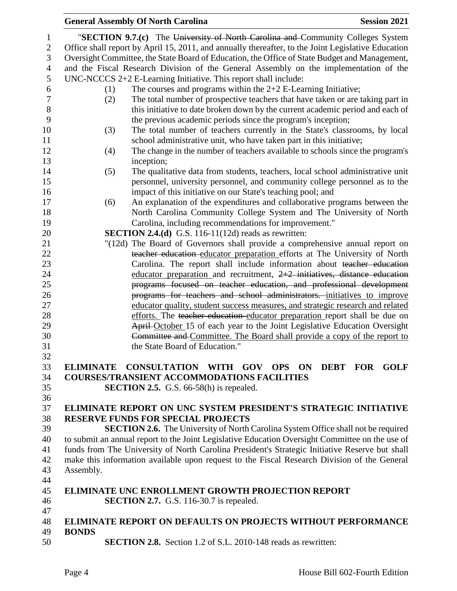|                  | <b>General Assembly Of North Carolina</b><br><b>Session 2021</b>                                                                                         |
|------------------|----------------------------------------------------------------------------------------------------------------------------------------------------------|
| 1                | "SECTION 9.7.(c) The University of North Carolina and Community Colleges System                                                                          |
| $\sqrt{2}$       | Office shall report by April 15, 2011, and annually thereafter, to the Joint Legislative Education                                                       |
| 3                | Oversight Committee, the State Board of Education, the Office of State Budget and Management,                                                            |
| $\overline{4}$   | and the Fiscal Research Division of the General Assembly on the implementation of the                                                                    |
| 5                | $UNC-NCCCS 2+2 E-Learning Initiative. This report shall include:$                                                                                        |
| 6                | The courses and programs within the $2+2$ E-Learning Initiative;<br>(1)                                                                                  |
| $\boldsymbol{7}$ | The total number of prospective teachers that have taken or are taking part in<br>(2)                                                                    |
| $8\,$            |                                                                                                                                                          |
| 9                | this initiative to date broken down by the current academic period and each of                                                                           |
|                  | the previous academic periods since the program's inception;                                                                                             |
| 10<br>11         | The total number of teachers currently in the State's classrooms, by local<br>(3)                                                                        |
| 12               | school administrative unit, who have taken part in this initiative;                                                                                      |
|                  | The change in the number of teachers available to schools since the program's<br>(4)                                                                     |
| 13               | inception;                                                                                                                                               |
| 14               | The qualitative data from students, teachers, local school administrative unit<br>(5)                                                                    |
| 15               | personnel, university personnel, and community college personnel as to the                                                                               |
| 16               | impact of this initiative on our State's teaching pool; and                                                                                              |
| 17               | An explanation of the expenditures and collaborative programs between the<br>(6)                                                                         |
| 18               | North Carolina Community College System and The University of North                                                                                      |
| 19               | Carolina, including recommendations for improvement."                                                                                                    |
| 20               | <b>SECTION 2.4.(d)</b> G.S. 116-11(12d) reads as rewritten:                                                                                              |
| 21               | "(12d) The Board of Governors shall provide a comprehensive annual report on                                                                             |
| 22               | teacher education educator preparation efforts at The University of North                                                                                |
| 23               | Carolina. The report shall include information about teacher education                                                                                   |
| 24               | educator preparation and recruitment, $2+2$ initiatives, distance education                                                                              |
| 25<br>26         | programs focused on teacher education, and professional development                                                                                      |
| 27               | programs for teachers and school administrators. initiatives to improve                                                                                  |
| 28               | educator quality, student success measures, and strategic research and related                                                                           |
| 29               | efforts. The teacher education educator preparation report shall be due on<br>April-October 15 of each year to the Joint Legislative Education Oversight |
| 30               | Committee and Committee. The Board shall provide a copy of the report to                                                                                 |
| 31               | the State Board of Education."                                                                                                                           |
| 32               |                                                                                                                                                          |
| 33               | ELIMINATE CONSULTATION WITH GOV OPS ON DEBT FOR GOLF                                                                                                     |
| 34               | <b>COURSES/TRANSIENT ACCOMMODATIONS FACILITIES</b>                                                                                                       |
| 35               | <b>SECTION 2.5.</b> G.S. 66-58(h) is repealed.                                                                                                           |
| 36               |                                                                                                                                                          |
| 37               | ELIMINATE REPORT ON UNC SYSTEM PRESIDENT'S STRATEGIC INITIATIVE                                                                                          |
| 38               | <b>RESERVE FUNDS FOR SPECIAL PROJECTS</b>                                                                                                                |
| 39               | <b>SECTION 2.6.</b> The University of North Carolina System Office shall not be required                                                                 |
| 40               | to submit an annual report to the Joint Legislative Education Oversight Committee on the use of                                                          |
| 41               | funds from The University of North Carolina President's Strategic Initiative Reserve but shall                                                           |
| 42               | make this information available upon request to the Fiscal Research Division of the General                                                              |
| 43               | Assembly.                                                                                                                                                |
| 44               |                                                                                                                                                          |
| 45               | <b>ELIMINATE UNC ENROLLMENT GROWTH PROJECTION REPORT</b>                                                                                                 |
| 46               | <b>SECTION 2.7.</b> G.S. 116-30.7 is repealed.                                                                                                           |
| 47               |                                                                                                                                                          |
| 48               | <b>ELIMINATE REPORT ON DEFAULTS ON PROJECTS WITHOUT PERFORMANCE</b>                                                                                      |
| 49               | <b>BONDS</b>                                                                                                                                             |
| 50               | <b>SECTION 2.8.</b> Section 1.2 of S.L. 2010-148 reads as rewritten:                                                                                     |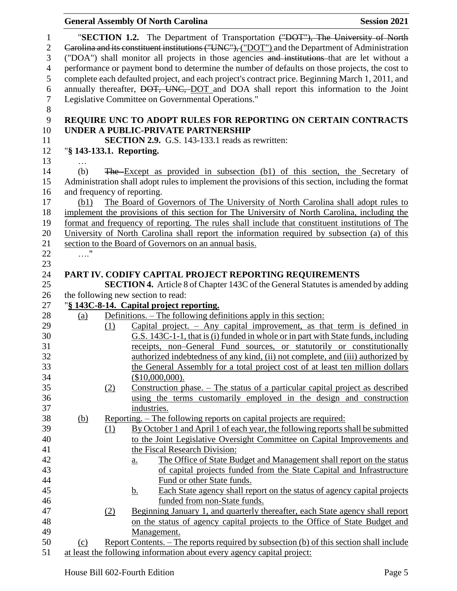|                                                                                     |            |     | <b>General Assembly Of North Carolina</b>                                                                                                                                                                                                                                                                                                                                                                                                                                                                                                                                                                                               | <b>Session 2021</b> |
|-------------------------------------------------------------------------------------|------------|-----|-----------------------------------------------------------------------------------------------------------------------------------------------------------------------------------------------------------------------------------------------------------------------------------------------------------------------------------------------------------------------------------------------------------------------------------------------------------------------------------------------------------------------------------------------------------------------------------------------------------------------------------------|---------------------|
| $\mathbf{1}$<br>$\overline{2}$<br>3<br>$\overline{4}$<br>5<br>6<br>$\boldsymbol{7}$ |            |     | "SECTION 1.2. The Department of Transportation ("DOT"), The University of North<br>Carolina and its constituent institutions ("UNC"), ("DOT") and the Department of Administration<br>("DOA") shall monitor all projects in those agencies and institutions that are let without a<br>performance or payment bond to determine the number of defaults on those projects, the cost to<br>complete each defaulted project, and each project's contract price. Beginning March 1, 2011, and<br>annually thereafter, DOT, UNC, DOT and DOA shall report this information to the Joint<br>Legislative Committee on Governmental Operations." |                     |
| 8                                                                                   |            |     |                                                                                                                                                                                                                                                                                                                                                                                                                                                                                                                                                                                                                                         |                     |
| 9                                                                                   |            |     | REQUIRE UNC TO ADOPT RULES FOR REPORTING ON CERTAIN CONTRACTS                                                                                                                                                                                                                                                                                                                                                                                                                                                                                                                                                                           |                     |
| 10                                                                                  |            |     | UNDER A PUBLIC-PRIVATE PARTNERSHIP                                                                                                                                                                                                                                                                                                                                                                                                                                                                                                                                                                                                      |                     |
| 11                                                                                  |            |     | <b>SECTION 2.9.</b> G.S. 143-133.1 reads as rewritten:                                                                                                                                                                                                                                                                                                                                                                                                                                                                                                                                                                                  |                     |
| 12                                                                                  |            |     | "§ 143-133.1. Reporting.                                                                                                                                                                                                                                                                                                                                                                                                                                                                                                                                                                                                                |                     |
| 13                                                                                  |            |     |                                                                                                                                                                                                                                                                                                                                                                                                                                                                                                                                                                                                                                         |                     |
| 14                                                                                  | (b)        |     | The Except as provided in subsection (b1) of this section, the Secretary of                                                                                                                                                                                                                                                                                                                                                                                                                                                                                                                                                             |                     |
| 15                                                                                  |            |     | Administration shall adopt rules to implement the provisions of this section, including the format                                                                                                                                                                                                                                                                                                                                                                                                                                                                                                                                      |                     |
| 16                                                                                  |            |     | and frequency of reporting.                                                                                                                                                                                                                                                                                                                                                                                                                                                                                                                                                                                                             |                     |
| 17                                                                                  | (b1)       |     | The Board of Governors of The University of North Carolina shall adopt rules to                                                                                                                                                                                                                                                                                                                                                                                                                                                                                                                                                         |                     |
| 18                                                                                  |            |     | implement the provisions of this section for The University of North Carolina, including the                                                                                                                                                                                                                                                                                                                                                                                                                                                                                                                                            |                     |
| 19                                                                                  |            |     | format and frequency of reporting. The rules shall include that constituent institutions of The                                                                                                                                                                                                                                                                                                                                                                                                                                                                                                                                         |                     |
| 20                                                                                  |            |     | University of North Carolina shall report the information required by subsection (a) of this                                                                                                                                                                                                                                                                                                                                                                                                                                                                                                                                            |                     |
| 21                                                                                  |            |     | section to the Board of Governors on an annual basis.                                                                                                                                                                                                                                                                                                                                                                                                                                                                                                                                                                                   |                     |
| 22<br>23                                                                            | $\ldots$ " |     |                                                                                                                                                                                                                                                                                                                                                                                                                                                                                                                                                                                                                                         |                     |
| 24                                                                                  |            |     | PART IV. CODIFY CAPITAL PROJECT REPORTING REQUIREMENTS                                                                                                                                                                                                                                                                                                                                                                                                                                                                                                                                                                                  |                     |
| 25                                                                                  |            |     | <b>SECTION 4.</b> Article 8 of Chapter 143C of the General Statutes is amended by adding                                                                                                                                                                                                                                                                                                                                                                                                                                                                                                                                                |                     |
| 26                                                                                  |            |     | the following new section to read:                                                                                                                                                                                                                                                                                                                                                                                                                                                                                                                                                                                                      |                     |
| 27                                                                                  |            |     | "§ 143C-8-14. Capital project reporting.                                                                                                                                                                                                                                                                                                                                                                                                                                                                                                                                                                                                |                     |
| 28                                                                                  | (a)        |     | Definitions. – The following definitions apply in this section:                                                                                                                                                                                                                                                                                                                                                                                                                                                                                                                                                                         |                     |
| 29                                                                                  |            | (1) | Capital project. $-$ Any capital improvement, as that term is defined in                                                                                                                                                                                                                                                                                                                                                                                                                                                                                                                                                                |                     |
| 30                                                                                  |            |     | G.S. 143C-1-1, that is (i) funded in whole or in part with State funds, including                                                                                                                                                                                                                                                                                                                                                                                                                                                                                                                                                       |                     |
| 31                                                                                  |            |     | receipts, non-General Fund sources, or statutorily or constitutionally                                                                                                                                                                                                                                                                                                                                                                                                                                                                                                                                                                  |                     |
| 32                                                                                  |            |     | authorized indebtedness of any kind, (ii) not complete, and (iii) authorized by                                                                                                                                                                                                                                                                                                                                                                                                                                                                                                                                                         |                     |
| 33                                                                                  |            |     | the General Assembly for a total project cost of at least ten million dollars                                                                                                                                                                                                                                                                                                                                                                                                                                                                                                                                                           |                     |
| 34                                                                                  |            |     | $($10,000,000)$ .                                                                                                                                                                                                                                                                                                                                                                                                                                                                                                                                                                                                                       |                     |
| 35                                                                                  |            | (2) | <u>Construction phase. <math>-</math> The status of a particular capital project as described</u>                                                                                                                                                                                                                                                                                                                                                                                                                                                                                                                                       |                     |
| 36                                                                                  |            |     | using the terms customarily employed in the design and construction                                                                                                                                                                                                                                                                                                                                                                                                                                                                                                                                                                     |                     |
| 37                                                                                  |            |     | industries.                                                                                                                                                                                                                                                                                                                                                                                                                                                                                                                                                                                                                             |                     |
| 38                                                                                  | <u>(b)</u> |     | <u>Reporting. – The following reports on capital projects are required:</u>                                                                                                                                                                                                                                                                                                                                                                                                                                                                                                                                                             |                     |
| 39                                                                                  |            | (1) | By October 1 and April 1 of each year, the following reports shall be submitted                                                                                                                                                                                                                                                                                                                                                                                                                                                                                                                                                         |                     |
| 40                                                                                  |            |     | to the Joint Legislative Oversight Committee on Capital Improvements and                                                                                                                                                                                                                                                                                                                                                                                                                                                                                                                                                                |                     |
| 41                                                                                  |            |     | the Fiscal Research Division:                                                                                                                                                                                                                                                                                                                                                                                                                                                                                                                                                                                                           |                     |
| 42                                                                                  |            |     | The Office of State Budget and Management shall report on the status<br>a.                                                                                                                                                                                                                                                                                                                                                                                                                                                                                                                                                              |                     |
| 43                                                                                  |            |     | of capital projects funded from the State Capital and Infrastructure                                                                                                                                                                                                                                                                                                                                                                                                                                                                                                                                                                    |                     |
| 44                                                                                  |            |     | Fund or other State funds.                                                                                                                                                                                                                                                                                                                                                                                                                                                                                                                                                                                                              |                     |
| 45                                                                                  |            |     | Each State agency shall report on the status of agency capital projects<br><u>b.</u>                                                                                                                                                                                                                                                                                                                                                                                                                                                                                                                                                    |                     |
| 46                                                                                  |            |     | funded from non-State funds.                                                                                                                                                                                                                                                                                                                                                                                                                                                                                                                                                                                                            |                     |
| 47                                                                                  |            | (2) | Beginning January 1, and quarterly thereafter, each State agency shall report                                                                                                                                                                                                                                                                                                                                                                                                                                                                                                                                                           |                     |
| 48                                                                                  |            |     | on the status of agency capital projects to the Office of State Budget and                                                                                                                                                                                                                                                                                                                                                                                                                                                                                                                                                              |                     |
| 49<br>50                                                                            |            |     | Management.                                                                                                                                                                                                                                                                                                                                                                                                                                                                                                                                                                                                                             |                     |
| 51                                                                                  | (c)        |     | Report Contents. – The reports required by subsection (b) of this section shall include<br>at least the following information about every agency capital project:                                                                                                                                                                                                                                                                                                                                                                                                                                                                       |                     |
|                                                                                     |            |     |                                                                                                                                                                                                                                                                                                                                                                                                                                                                                                                                                                                                                                         |                     |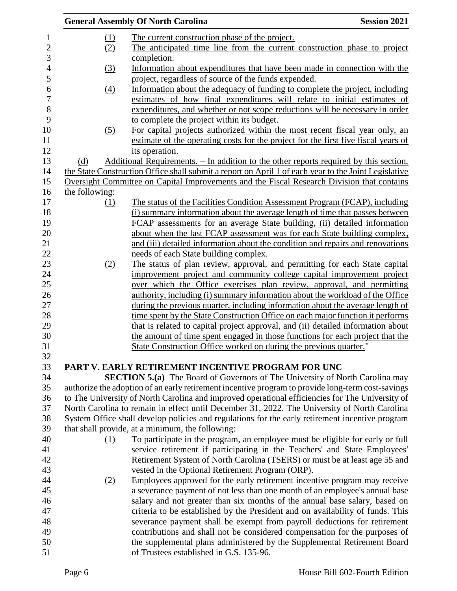|                  | <b>General Assembly Of North Carolina</b>                                                                                                              | <b>Session 2021</b> |
|------------------|--------------------------------------------------------------------------------------------------------------------------------------------------------|---------------------|
| (1)              | The current construction phase of the project.                                                                                                         |                     |
| (2)              | The anticipated time line from the current construction phase to project                                                                               |                     |
|                  | completion.                                                                                                                                            |                     |
| (3)              | Information about expenditures that have been made in connection with the                                                                              |                     |
|                  | project, regardless of source of the funds expended.                                                                                                   |                     |
| $\left(4\right)$ | Information about the adequacy of funding to complete the project, including                                                                           |                     |
|                  | estimates of how final expenditures will relate to initial estimates of                                                                                |                     |
|                  | expenditures, and whether or not scope reductions will be necessary in order                                                                           |                     |
|                  | to complete the project within its budget.                                                                                                             |                     |
| (5)              | For capital projects authorized within the most recent fiscal year only, an                                                                            |                     |
|                  | estimate of the operating costs for the project for the first five fiscal years of                                                                     |                     |
|                  | its operation.                                                                                                                                         |                     |
| (d)              | <u>Additional Requirements. – In addition to the other reports required by this section,</u>                                                           |                     |
|                  | the State Construction Office shall submit a report on April 1 of each year to the Joint Legislative                                                   |                     |
|                  | Oversight Committee on Capital Improvements and the Fiscal Research Division that contains                                                             |                     |
| the following:   |                                                                                                                                                        |                     |
| (1)              | The status of the Facilities Condition Assessment Program (FCAP), including                                                                            |                     |
|                  | (i) summary information about the average length of time that passes between                                                                           |                     |
|                  | FCAP assessments for an average State building, (ii) detailed information                                                                              |                     |
|                  | about when the last FCAP assessment was for each State building complex,                                                                               |                     |
|                  | and (iii) detailed information about the condition and repairs and renovations                                                                         |                     |
|                  | needs of each State building complex.                                                                                                                  |                     |
| (2)              | The status of plan review, approval, and permitting for each State capital                                                                             |                     |
|                  | improvement project and community college capital improvement project                                                                                  |                     |
|                  | over which the Office exercises plan review, approval, and permitting<br>authority, including (i) summary information about the workload of the Office |                     |
|                  | during the previous quarter, including information about the average length of                                                                         |                     |
|                  | time spent by the State Construction Office on each major function it performs                                                                         |                     |
|                  | that is related to capital project approval, and (ii) detailed information about                                                                       |                     |
|                  | the amount of time spent engaged in those functions for each project that the                                                                          |                     |
|                  | State Construction Office worked on during the previous quarter."                                                                                      |                     |
|                  |                                                                                                                                                        |                     |
|                  | PART V. EARLY RETIREMENT INCENTIVE PROGRAM FOR UNC                                                                                                     |                     |
|                  | <b>SECTION 5.(a)</b> The Board of Governors of The University of North Carolina may                                                                    |                     |
|                  | authorize the adoption of an early retirement incentive program to provide long-term cost-savings                                                      |                     |
|                  | to The University of North Carolina and improved operational efficiencies for The University of                                                        |                     |
|                  | North Carolina to remain in effect until December 31, 2022. The University of North Carolina                                                           |                     |
|                  | System Office shall develop policies and regulations for the early retirement incentive program                                                        |                     |
|                  | that shall provide, at a minimum, the following:                                                                                                       |                     |
| (1)              | To participate in the program, an employee must be eligible for early or full                                                                          |                     |
|                  | service retirement if participating in the Teachers' and State Employees'                                                                              |                     |
|                  | Retirement System of North Carolina (TSERS) or must be at least age 55 and                                                                             |                     |
|                  | vested in the Optional Retirement Program (ORP).                                                                                                       |                     |
| (2)              | Employees approved for the early retirement incentive program may receive                                                                              |                     |
|                  | a severance payment of not less than one month of an employee's annual base                                                                            |                     |
|                  | salary and not greater than six months of the annual base salary, based on                                                                             |                     |
|                  | criteria to be established by the President and on availability of funds. This                                                                         |                     |
|                  | severance payment shall be exempt from payroll deductions for retirement                                                                               |                     |
|                  | contributions and shall not be considered compensation for the purposes of                                                                             |                     |
|                  | the supplemental plans administered by the Supplemental Retirement Board                                                                               |                     |
|                  | of Trustees established in G.S. 135-96.                                                                                                                |                     |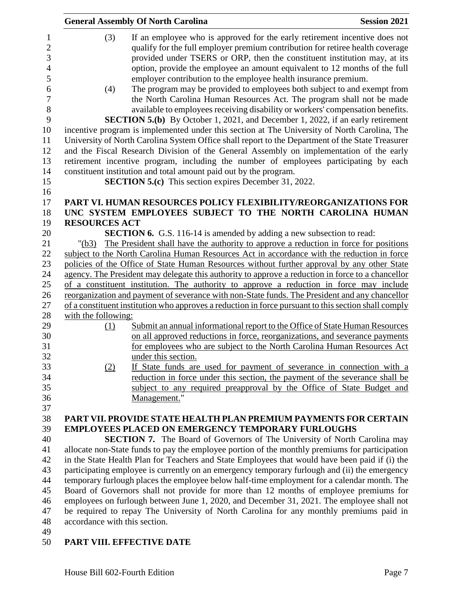|                                                                                                             | <b>General Assembly Of North Carolina</b><br><b>Session 2021</b>                                                                                                                                                                                                                                                                                                                                                                                                                                                                                                                                                                                                                                                                                                                                                                                                                                                                                                                                                                                                                                                                                                                                      |  |
|-------------------------------------------------------------------------------------------------------------|-------------------------------------------------------------------------------------------------------------------------------------------------------------------------------------------------------------------------------------------------------------------------------------------------------------------------------------------------------------------------------------------------------------------------------------------------------------------------------------------------------------------------------------------------------------------------------------------------------------------------------------------------------------------------------------------------------------------------------------------------------------------------------------------------------------------------------------------------------------------------------------------------------------------------------------------------------------------------------------------------------------------------------------------------------------------------------------------------------------------------------------------------------------------------------------------------------|--|
| 1<br>$\overline{c}$<br>3<br>$\overline{\mathcal{L}}$<br>5<br>6<br>7<br>8<br>9<br>10<br>11<br>12<br>13<br>14 | (3)<br>If an employee who is approved for the early retirement incentive does not<br>qualify for the full employer premium contribution for retiree health coverage<br>provided under TSERS or ORP, then the constituent institution may, at its<br>option, provide the employee an amount equivalent to 12 months of the full<br>employer contribution to the employee health insurance premium.<br>The program may be provided to employees both subject to and exempt from<br>(4)<br>the North Carolina Human Resources Act. The program shall not be made<br>available to employees receiving disability or workers' compensation benefits.<br><b>SECTION 5.(b)</b> By October 1, 2021, and December 1, 2022, if an early retirement<br>incentive program is implemented under this section at The University of North Carolina, The<br>University of North Carolina System Office shall report to the Department of the State Treasurer<br>and the Fiscal Research Division of the General Assembly on implementation of the early<br>retirement incentive program, including the number of employees participating by each<br>constituent institution and total amount paid out by the program. |  |
| 15<br>16                                                                                                    | <b>SECTION 5.(c)</b> This section expires December 31, 2022.                                                                                                                                                                                                                                                                                                                                                                                                                                                                                                                                                                                                                                                                                                                                                                                                                                                                                                                                                                                                                                                                                                                                          |  |
| 17                                                                                                          | PART VI. HUMAN RESOURCES POLICY FLEXIBILITY/REORGANIZATIONS FOR                                                                                                                                                                                                                                                                                                                                                                                                                                                                                                                                                                                                                                                                                                                                                                                                                                                                                                                                                                                                                                                                                                                                       |  |
| 18                                                                                                          | UNC SYSTEM EMPLOYEES SUBJECT TO THE NORTH CAROLINA HUMAN                                                                                                                                                                                                                                                                                                                                                                                                                                                                                                                                                                                                                                                                                                                                                                                                                                                                                                                                                                                                                                                                                                                                              |  |
| 19                                                                                                          | <b>RESOURCES ACT</b>                                                                                                                                                                                                                                                                                                                                                                                                                                                                                                                                                                                                                                                                                                                                                                                                                                                                                                                                                                                                                                                                                                                                                                                  |  |
| 20                                                                                                          | <b>SECTION 6.</b> G.S. 116-14 is amended by adding a new subsection to read:                                                                                                                                                                                                                                                                                                                                                                                                                                                                                                                                                                                                                                                                                                                                                                                                                                                                                                                                                                                                                                                                                                                          |  |
| 21                                                                                                          | The President shall have the authority to approve a reduction in force for positions<br>"(b3)                                                                                                                                                                                                                                                                                                                                                                                                                                                                                                                                                                                                                                                                                                                                                                                                                                                                                                                                                                                                                                                                                                         |  |
| 22                                                                                                          | subject to the North Carolina Human Resources Act in accordance with the reduction in force                                                                                                                                                                                                                                                                                                                                                                                                                                                                                                                                                                                                                                                                                                                                                                                                                                                                                                                                                                                                                                                                                                           |  |
| 23                                                                                                          | policies of the Office of State Human Resources without further approval by any other State                                                                                                                                                                                                                                                                                                                                                                                                                                                                                                                                                                                                                                                                                                                                                                                                                                                                                                                                                                                                                                                                                                           |  |
| 24                                                                                                          | agency. The President may delegate this authority to approve a reduction in force to a chancellor                                                                                                                                                                                                                                                                                                                                                                                                                                                                                                                                                                                                                                                                                                                                                                                                                                                                                                                                                                                                                                                                                                     |  |
| 25                                                                                                          | of a constituent institution. The authority to approve a reduction in force may include                                                                                                                                                                                                                                                                                                                                                                                                                                                                                                                                                                                                                                                                                                                                                                                                                                                                                                                                                                                                                                                                                                               |  |
| 26<br>27                                                                                                    | reorganization and payment of severance with non-State funds. The President and any chancellor                                                                                                                                                                                                                                                                                                                                                                                                                                                                                                                                                                                                                                                                                                                                                                                                                                                                                                                                                                                                                                                                                                        |  |
| 28                                                                                                          | of a constituent institution who approves a reduction in force pursuant to this section shall comply<br>with the following:                                                                                                                                                                                                                                                                                                                                                                                                                                                                                                                                                                                                                                                                                                                                                                                                                                                                                                                                                                                                                                                                           |  |
| 29                                                                                                          | Submit an annual informational report to the Office of State Human Resources<br>(1)                                                                                                                                                                                                                                                                                                                                                                                                                                                                                                                                                                                                                                                                                                                                                                                                                                                                                                                                                                                                                                                                                                                   |  |
| 30                                                                                                          | on all approved reductions in force, reorganizations, and severance payments                                                                                                                                                                                                                                                                                                                                                                                                                                                                                                                                                                                                                                                                                                                                                                                                                                                                                                                                                                                                                                                                                                                          |  |
| 31                                                                                                          | for employees who are subject to the North Carolina Human Resources Act                                                                                                                                                                                                                                                                                                                                                                                                                                                                                                                                                                                                                                                                                                                                                                                                                                                                                                                                                                                                                                                                                                                               |  |
| 32                                                                                                          | under this section.                                                                                                                                                                                                                                                                                                                                                                                                                                                                                                                                                                                                                                                                                                                                                                                                                                                                                                                                                                                                                                                                                                                                                                                   |  |
| 33                                                                                                          | If State funds are used for payment of severance in connection with a<br>(2)                                                                                                                                                                                                                                                                                                                                                                                                                                                                                                                                                                                                                                                                                                                                                                                                                                                                                                                                                                                                                                                                                                                          |  |
| 34                                                                                                          | reduction in force under this section, the payment of the severance shall be                                                                                                                                                                                                                                                                                                                                                                                                                                                                                                                                                                                                                                                                                                                                                                                                                                                                                                                                                                                                                                                                                                                          |  |
| 35                                                                                                          | subject to any required preapproval by the Office of State Budget and                                                                                                                                                                                                                                                                                                                                                                                                                                                                                                                                                                                                                                                                                                                                                                                                                                                                                                                                                                                                                                                                                                                                 |  |
| 36                                                                                                          | Management."                                                                                                                                                                                                                                                                                                                                                                                                                                                                                                                                                                                                                                                                                                                                                                                                                                                                                                                                                                                                                                                                                                                                                                                          |  |
| 37                                                                                                          |                                                                                                                                                                                                                                                                                                                                                                                                                                                                                                                                                                                                                                                                                                                                                                                                                                                                                                                                                                                                                                                                                                                                                                                                       |  |
| 38                                                                                                          | PART VII. PROVIDE STATE HEALTH PLAN PREMIUM PAYMENTS FOR CERTAIN                                                                                                                                                                                                                                                                                                                                                                                                                                                                                                                                                                                                                                                                                                                                                                                                                                                                                                                                                                                                                                                                                                                                      |  |
| 39                                                                                                          | <b>EMPLOYEES PLACED ON EMERGENCY TEMPORARY FURLOUGHS</b>                                                                                                                                                                                                                                                                                                                                                                                                                                                                                                                                                                                                                                                                                                                                                                                                                                                                                                                                                                                                                                                                                                                                              |  |
| 40                                                                                                          | <b>SECTION 7.</b> The Board of Governors of The University of North Carolina may                                                                                                                                                                                                                                                                                                                                                                                                                                                                                                                                                                                                                                                                                                                                                                                                                                                                                                                                                                                                                                                                                                                      |  |
| 41                                                                                                          | allocate non-State funds to pay the employee portion of the monthly premiums for participation                                                                                                                                                                                                                                                                                                                                                                                                                                                                                                                                                                                                                                                                                                                                                                                                                                                                                                                                                                                                                                                                                                        |  |
| 42                                                                                                          | in the State Health Plan for Teachers and State Employees that would have been paid if (i) the                                                                                                                                                                                                                                                                                                                                                                                                                                                                                                                                                                                                                                                                                                                                                                                                                                                                                                                                                                                                                                                                                                        |  |
| 43                                                                                                          | participating employee is currently on an emergency temporary furlough and (ii) the emergency                                                                                                                                                                                                                                                                                                                                                                                                                                                                                                                                                                                                                                                                                                                                                                                                                                                                                                                                                                                                                                                                                                         |  |
| 44                                                                                                          | temporary furlough places the employee below half-time employment for a calendar month. The                                                                                                                                                                                                                                                                                                                                                                                                                                                                                                                                                                                                                                                                                                                                                                                                                                                                                                                                                                                                                                                                                                           |  |
| 45                                                                                                          | Board of Governors shall not provide for more than 12 months of employee premiums for                                                                                                                                                                                                                                                                                                                                                                                                                                                                                                                                                                                                                                                                                                                                                                                                                                                                                                                                                                                                                                                                                                                 |  |
| 46                                                                                                          | employees on furlough between June 1, 2020, and December 31, 2021. The employee shall not                                                                                                                                                                                                                                                                                                                                                                                                                                                                                                                                                                                                                                                                                                                                                                                                                                                                                                                                                                                                                                                                                                             |  |
| 47<br>48                                                                                                    | be required to repay The University of North Carolina for any monthly premiums paid in<br>accordance with this section.                                                                                                                                                                                                                                                                                                                                                                                                                                                                                                                                                                                                                                                                                                                                                                                                                                                                                                                                                                                                                                                                               |  |
| 49                                                                                                          |                                                                                                                                                                                                                                                                                                                                                                                                                                                                                                                                                                                                                                                                                                                                                                                                                                                                                                                                                                                                                                                                                                                                                                                                       |  |
| 50                                                                                                          | PART VIII. EFFECTIVE DATE                                                                                                                                                                                                                                                                                                                                                                                                                                                                                                                                                                                                                                                                                                                                                                                                                                                                                                                                                                                                                                                                                                                                                                             |  |
|                                                                                                             |                                                                                                                                                                                                                                                                                                                                                                                                                                                                                                                                                                                                                                                                                                                                                                                                                                                                                                                                                                                                                                                                                                                                                                                                       |  |